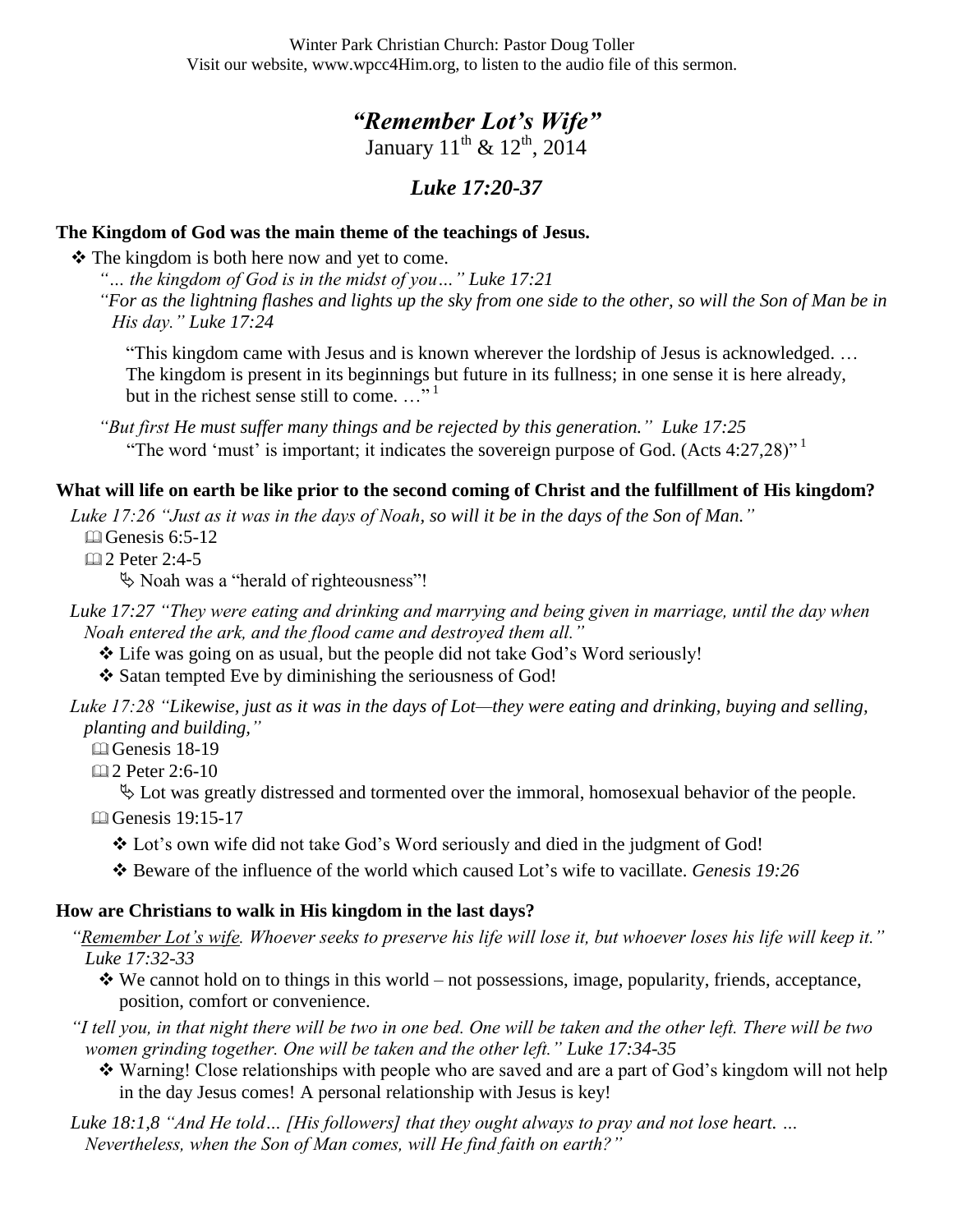Winter Park Christian Church: Pastor Doug Toller Visit our website, www.wpcc4Him.org, to listen to the audio file of this sermon.

# *"Remember Lot's Wife"*

January  $11^{th}$  &  $12^{th}$ , 2014

## *Luke 17:20-37*

#### **The Kingdom of God was the main theme of the teachings of Jesus.**

 $\triangle$  The kingdom is both here now and yet to come.

*"… the kingdom of God is in the midst of you…" Luke 17:21 "For as the lightning flashes and lights up the sky from one side to the other, so will the Son of Man be in His day." Luke 17:24*

"This kingdom came with Jesus and is known wherever the lordship of Jesus is acknowledged. … The kingdom is present in its beginnings but future in its fullness; in one sense it is here already, but in the richest sense still to come. ..."<sup>1</sup>

*"But first He must suffer many things and be rejected by this generation." Luke 17:25* "The word 'must' is important; it indicates the sovereign purpose of God. (Acts  $4:27,28$ )"

### **What will life on earth be like prior to the second coming of Christ and the fulfillment of His kingdom?**

*Luke 17:26 "Just as it was in the days of Noah, so will it be in the days of the Son of Man."*

 $\Box$  Genesis 6:5-12

2 Peter 2:4-5

Noah was a "herald of righteousness"!

*Luke 17:27 "They were eating and drinking and marrying and being given in marriage, until the day when Noah entered the ark, and the flood came and destroyed them all."* 

 $\triangle$  Life was going on as usual, but the people did not take God's Word seriously!

❖ Satan tempted Eve by diminishing the seriousness of God!

*Luke 17:28 "Likewise, just as it was in the days of Lot—they were eating and drinking, buying and selling, planting and building,"*

**C**enesis 18-19

2 Peter 2:6-10

 $\&$  Lot was greatly distressed and tormented over the immoral, homosexual behavior of the people.

**□ Genesis 19:15-17** 

\* Lot's own wife did not take God's Word seriously and died in the judgment of God!

Beware of the influence of the world which caused Lot"s wife to vacillate. *Genesis 19:26*

#### **How are Christians to walk in His kingdom in the last days?**

*"Remember Lot's wife. Whoever seeks to preserve his life will lose it, but whoever loses his life will keep it." Luke 17:32-33*

- $\mathbf{\hat{P}}$  We cannot hold on to things in this world not possessions, image, popularity, friends, acceptance, position, comfort or convenience.
- *"I tell you, in that night there will be two in one bed. One will be taken and the other left. There will be two women grinding together. One will be taken and the other left." Luke 17:34-35* 
	- Warning! Close relationships with people who are saved and are a part of God"s kingdom will not help in the day Jesus comes! A personal relationship with Jesus is key!

*Luke 18:1,8 "And He told… [His followers] that they ought always to pray and not lose heart. … Nevertheless, when the Son of Man comes, will He find faith on earth?"*